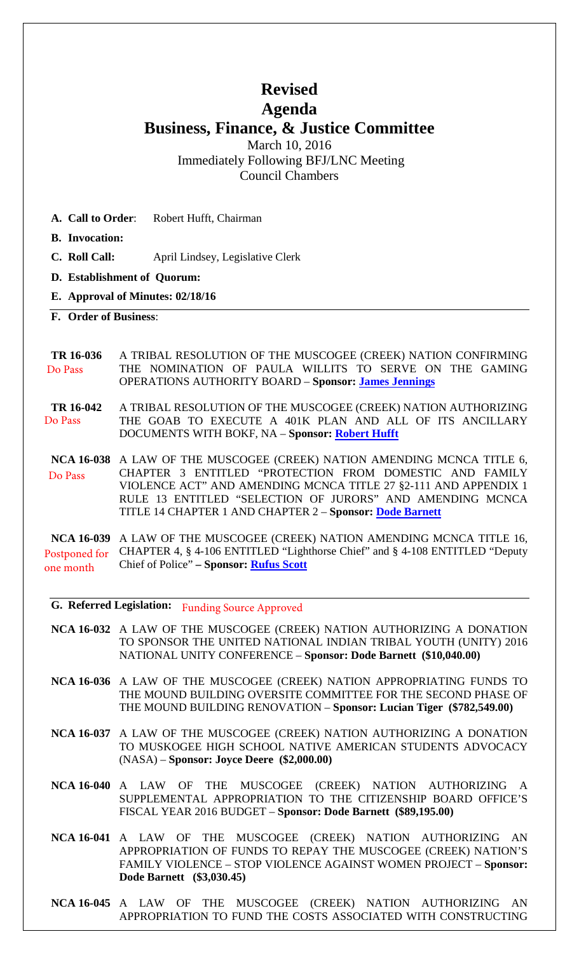# **Revised Agenda**

# **Business, Finance, & Justice Committee**

March 10, 2016 Immediately Following BFJ/LNC Meeting Council Chambers

- **A. Call to Order**: Robert Hufft, Chairman
- **B. Invocation:**
- **C. Roll Call:** April Lindsey, Legislative Clerk
- **D. Establishment of Quorum:**
- **E. Approval of Minutes: 02/18/16**
- **F. Order of Business**:

#### **TR 16-036** A TRIBAL RESOLUTION OF THE MUSCOGEE (CREEK) NATION CONFIRMING THE NOMINATION OF PAULA WILLITS TO SERVE ON THE GAMING OPERATIONS AUTHORITY BOARD – **Sponsor: [James Jennings](mailto:jjennings@mcnnc.com)** Do Pass

**TR 16-042** A TRIBAL RESOLUTION OF THE MUSCOGEE (CREEK) NATION AUTHORIZING THE GOAB TO EXECUTE A 401K PLAN AND ALL OF ITS ANCILLARY DOCUMENTS WITH BOKF, NA – **Sponsor: [Robert Hufft](mailto:rhufft@mcnnc.com)** Do Pass

**NCA 16-038** A LAW OF THE MUSCOGEE (CREEK) NATION AMENDING MCNCA TITLE 6, CHAPTER 3 ENTITLED "PROTECTION FROM DOMESTIC AND FAMILY VIOLENCE ACT" AND AMENDING MCNCA TITLE 27 §2-111 AND APPENDIX 1 RULE 13 ENTITLED "SELECTION OF JURORS" AND AMENDING MCNCA TITLE 14 CHAPTER 1 AND CHAPTER 2 – **Sponsor: [Dode Barnett](mailto:dbarnett@mcnnc.com)** Do Pass

**NCA 16-039** A LAW OF THE MUSCOGEE (CREEK) NATION AMENDING MCNCA TITLE 16, CHAPTER 4, § 4-106 ENTITLED "Lighthorse Chief" and § 4-108 ENTITLED "Deputy Chief of Police" **– Sponsor: [Rufus Scott](mailto:rscott@mcnnc.com)** Postponed for one month

**G. Referred Legislation:** Funding Source Approved

- **NCA 16-032** A LAW OF THE MUSCOGEE (CREEK) NATION AUTHORIZING A DONATION TO SPONSOR THE UNITED NATIONAL INDIAN TRIBAL YOUTH (UNITY) 2016 NATIONAL UNITY CONFERENCE – **Sponsor: Dode Barnett (\$10,040.00)**
- **NCA 16-036** A LAW OF THE MUSCOGEE (CREEK) NATION APPROPRIATING FUNDS TO THE MOUND BUILDING OVERSITE COMMITTEE FOR THE SECOND PHASE OF THE MOUND BUILDING RENOVATION – **Sponsor: Lucian Tiger (\$782,549.00)**
- **NCA 16-037** A LAW OF THE MUSCOGEE (CREEK) NATION AUTHORIZING A DONATION TO MUSKOGEE HIGH SCHOOL NATIVE AMERICAN STUDENTS ADVOCACY (NASA) – **Sponsor: Joyce Deere (\$2,000.00)**
- **NCA 16-040** A LAW OF THE MUSCOGEE (CREEK) NATION AUTHORIZING A SUPPLEMENTAL APPROPRIATION TO THE CITIZENSHIP BOARD OFFICE'S FISCAL YEAR 2016 BUDGET – **Sponsor: Dode Barnett (\$89,195.00)**
- **NCA 16-041** A LAW OF THE MUSCOGEE (CREEK) NATION AUTHORIZING AN APPROPRIATION OF FUNDS TO REPAY THE MUSCOGEE (CREEK) NATION'S FAMILY VIOLENCE – STOP VIOLENCE AGAINST WOMEN PROJECT – **Sponsor: Dode Barnett (\$3,030.45)**
- **NCA 16-045** A LAW OF THE MUSCOGEE (CREEK) NATION AUTHORIZING AN APPROPRIATION TO FUND THE COSTS ASSOCIATED WITH CONSTRUCTING